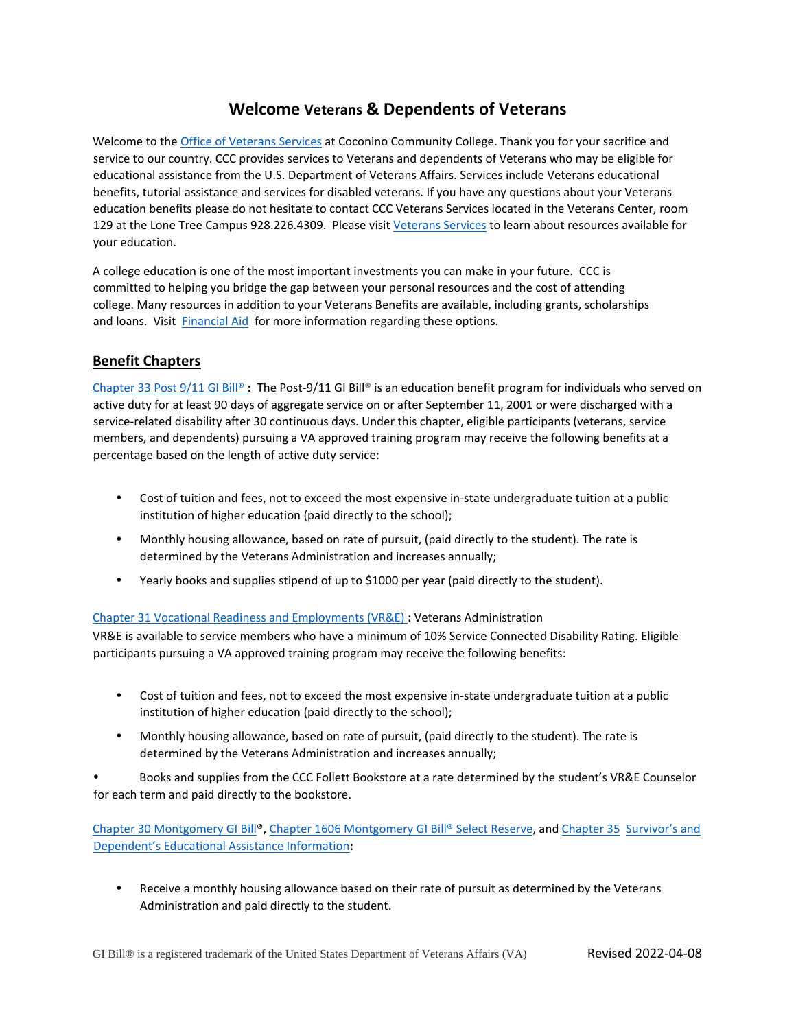# **Welcome Veterans & Dependents of Veterans**

Welcome to the [Office of Veterans Services](https://www.coconino.edu/veteran-services) at Coconino Community College. Thank you for your sacrifice and service to our country. CCC provides services to Veterans and dependents of Veterans who may be eligible for educational assistance from the U.S. Department of Veterans Affairs. Services include Veterans educational benefits, tutorial assistance and services for disabled veterans. If you have any questions about your Veterans education benefits please do not hesitate to contact CCC Veterans Services located in the Veterans Center, room 129 at the Lone Tree Campus 928.226.4309. Please visi[t Veterans Services](https://www.coconino.edu/veteran-services) [t](https://www.coconino.edu/veteran-services)o learn about resources available for your education.

A college education is one of the most important investments you can make in your future. CCC is committed to helping you bridge the gap between your personal resources and the cost of attending college. Many resources in addition to your Veterans Benefits are available, including grants, scholarships and loans. Visit [Financial Aid](https://www.coconino.edu/financial-aid) for more information regarding these options.

## **Benefit Chapters**

[Chapter 33 Post 9/11 GI Bill®](https://www.va.gov/education/about-gi-bill-benefits/post-9-11/) **[:](https://www.va.gov/education/about-gi-bill-benefits/post-9-11/)** The Post-9/11 GI Bill® is an education benefit program for individuals who served on active duty for at least 90 days of aggregate service on or after September 11, 2001 or were discharged with a service-related disability after 30 continuous days. Under this chapter, eligible participants (veterans, service members, and dependents) pursuing a VA approved training program may receive the following benefits at a percentage based on the length of active duty service:

- Cost of tuition and fees, not to exceed the most expensive in-state undergraduate tuition at a public institution of higher education (paid directly to the school);
- Monthly housing allowance, based on rate of pursuit, (paid directly to the student). The rate is determined by the Veterans Administration and increases annually;
- Yearly books and supplies stipend of up to \$1000 per year (paid directly to the student).

### [Chapter 31 Vocational Readiness and Employments \(VR&E\)](https://www.va.gov/careers-employment/vocational-rehabilitation/) **[:](https://www.va.gov/careers-employment/vocational-rehabilitation/)** Veterans Administration

VR&E is available to service members who have a minimum of 10% Service Connected Disability Rating. Eligible participants pursuing a VA approved training program may receive the following benefits:

- Cost of tuition and fees, not to exceed the most expensive in-state undergraduate tuition at a public institution of higher education (paid directly to the school);
- Monthly housing allowance, based on rate of pursuit, (paid directly to the student). The rate is determined by the Veterans Administration and increases annually;

• Books and supplies from the CCC Follett Bookstore at a rate determined by the student's VR&E Counselor for each term and paid directly to the bookstore.

[Chapter 30 Montgomery GI Bill®,](https://www.va.gov/education/about-gi-bill-benefits/montgomery-active-duty/) [Chapter 1606 Montgomery GI Bill® Select Reserve,](https://www.va.gov/education/about-gi-bill-benefits/montgomery-selected-reserve/) a[nd Chapter 35 Survivor's and](https://www.va.gov/education/survivor-dependent-benefits/dependents-education-assistance/)  [Dependent's Educational Assistance Information](https://www.va.gov/education/survivor-dependent-benefits/dependents-education-assistance/)**[:](https://www.va.gov/education/survivor-dependent-benefits/dependents-education-assistance/)** 

• Receive a monthly housing allowance based on their rate of pursuit as determined by the Veterans Administration and paid directly to the student.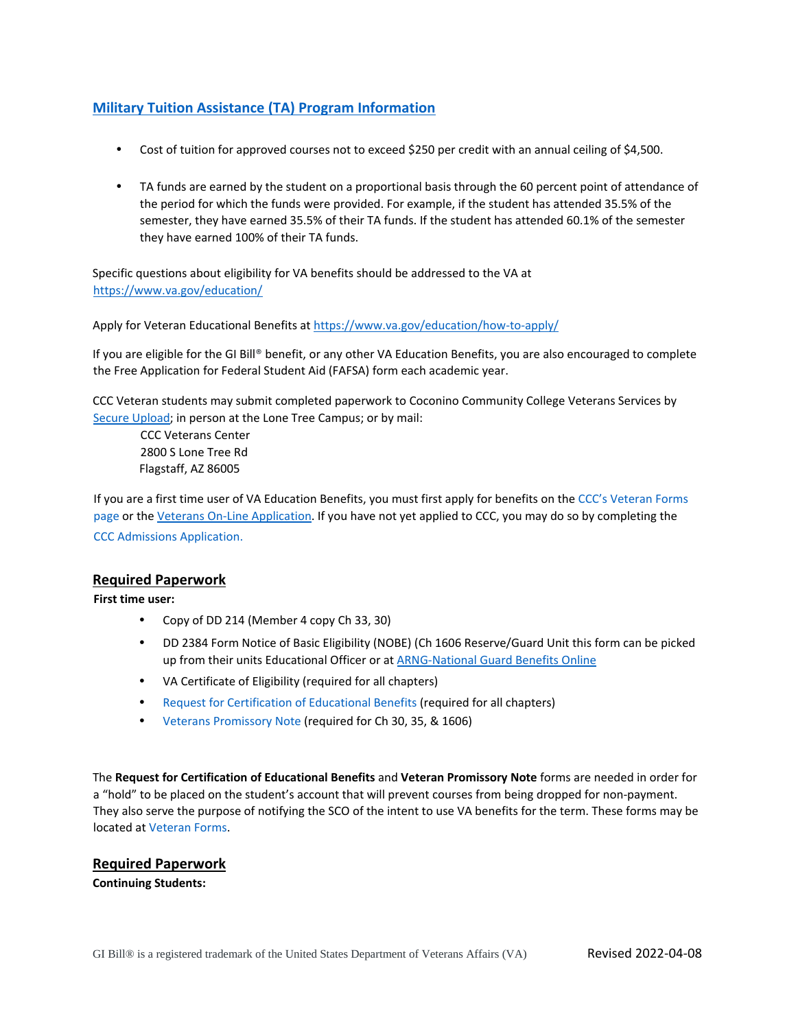## **[Military Tuition Assistance](https://www.dantes.doded.mil/FinancialAid/MilitaryTuitionAssistance.html) (TA) Program Informatio[n](https://www.dantes.doded.mil/FinancialAid/MilitaryTuitionAssistance.html)**

- Cost of tuition for approved courses not to exceed \$250 per credit with an annual ceiling of \$4,500.
- TA funds are earned by the student on a proportional basis through the 60 percent point of attendance of the period for which the funds were provided. For example, if the student has attended 35.5% of the semester, they have earned 35.5% of their TA funds. If the student has attended 60.1% of the semester they have earned 100% of their TA funds.

Specific questions about eligibility for VA benefits should be addressed to the VA at <https://www.va.gov/education/>

Apply for Veteran Educational Benefits a[t https://www.va.gov/education/how-to-apply/](https://www.va.gov/education/how-to-apply/)

If you are eligible for the GI Bill® benefit, or any other VA Education Benefits, you are also encouraged to complete the Free Application for Federal Student Aid (FAFSA) form each academic year.

CCC Veteran students may submit completed paperwork to Coconino Community College Veterans Services by [Secure Upload;](https://upload.coconino.edu/sites/veteran-services/Lists/Veteran%20Services%20Secure%20Upload%20Form/NewForm.aspx) in person at the Lone Tree Campus; or by mail:

CCC Veterans Center 2800 S Lone Tree Rd Flagstaff, AZ 86005

If you are a first time user of VA Education Benefits, you must first apply for benefits on the [CCC's Veteran Forms](https://www.coconino.edu/va/veteran-forms)  [page](https://www.coconino.edu/va/veteran-forms) or the [Veterans On-Line Application.](https://www.va.gov/education/how-to-apply/) If you have not yet applied to CCC, you may do so by completing the [CCC Admissions Application.](https://www.coconino.edu/apply-now)

### **Required Paperwork**

**First time user:**

- Copy of DD 214 (Member 4 copy Ch 33, 30)
- DD 2384 Form Notice of Basic Eligibility (NOBE) (Ch 1606 Reserve/Guard Unit this form can be picked up from their units Educational Officer or at **ARNG-National Guard Benefits Online**
- VA Certificate of Eligibility (required for all chapters[\)](https://www.nationalguard.com/benefits)
- [Request for Certification of Educational Benefits](https://spforms.coconino.edu/sites/veteran-services/default.aspx) [\(](https://spforms.coconino.edu/sites/veteran-services/default.aspx)required for all chapters)
- [Veterans Promissory Note](https://spforms.coconino.edu/sites/veteran-services/default.aspx) (required for Ch 30, 35, & 1606)

The **Request for Certification of Educational Benefits** and **Veteran Promissory Note** forms are needed in order for a "hold" to be placed on the student's account that will prevent courses from being dropped for non-payment. They also serve the purpose of notifying the SCO of the intent to use VA benefits for the term. These forms may be located a[t Veteran Forms.](https://spforms.coconino.edu/sites/veteran-services/default.aspx)

### **Required Paperwork**

**Continuing Students:**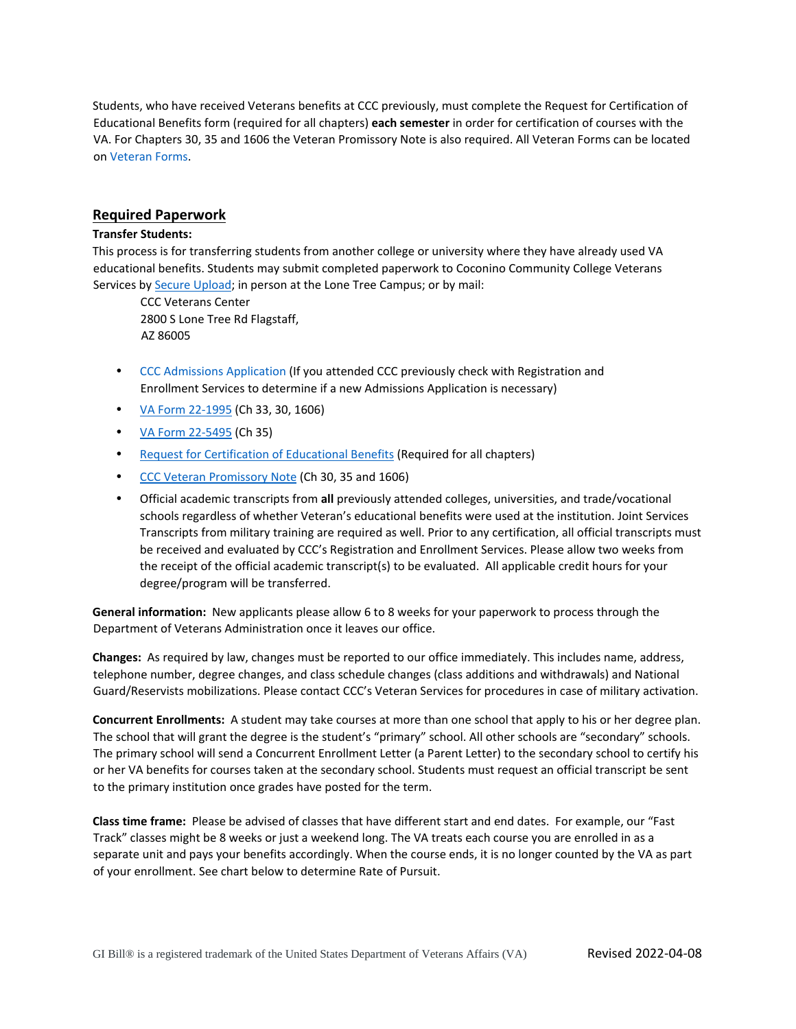Students, who have received Veterans benefits at CCC previously, must complete the Request for Certification of Educational Benefits form (required for all chapters) **each semester** in order for certification of courses with the VA. For Chapters 30, 35 and 1606 the Veteran Promissory Note is also required. All Veteran Forms can be located o[n Veteran Forms.](https://spforms.coconino.edu/sites/veteran-services/default.aspx)

### **Required Paperwork**

#### **Transfer Students:**

This process is for transferring students from another college or university where they have already used VA educational benefits. Students may submit completed paperwork to Coconino Community College Veterans Services by **Secure Upload**; in person at the Lone Tree Campus; or by mail:

CCC Veterans Center 2800 S Lone Tree Rd Flagstaff, AZ 86005

- [CCC Admissions Application](https://www.coconino.edu/apply-now) [\(I](https://www.coconino.edu/apply-now)f you attended CCC previously check with Registration and Enrollment Services to determine if a new Admissions Application is necessary)
- [VA Form 22-1995](https://www.va.gov/find-forms/about-form-22-1995/) (Ch 33, 30, 1606)
- [VA Form 22-5495](https://www.va.gov/find-forms/about-form-22-5495/) (Ch 35)
- [Request for Certification of Educational Benefits](https://spforms.coconino.edu/sites/veteran-services/default.aspx) [\(](https://spforms.coconino.edu/sites/veteran-services/default.aspx)Required for all chapters)
- [CCC Veteran Promissory Note](https://spforms.coconino.edu/sites/veteran-services/default.aspx) (Ch 30, 35 and 1606)
- Official academic transcripts from **all** previously attended colleges, universities, and trade/vocational schools regardless of whether Veteran's educational benefits were used at the institution. Joint Services Transcripts from military training are required as well. Prior to any certification, all official transcripts must be received and evaluated by CCC's Registration and Enrollment Services. Please allow two weeks from the receipt of the official academic transcript(s) to be evaluated. All applicable credit hours for your degree/program will be transferred.

**General information:** New applicants please allow 6 to 8 weeks for your paperwork to process through the Department of Veterans Administration once it leaves our office.

**Changes:** As required by law, changes must be reported to our office immediately. This includes name, address, telephone number, degree changes, and class schedule changes (class additions and withdrawals) and National Guard/Reservists mobilizations. Please contact CCC's Veteran Services for procedures in case of military activation.

**Concurrent Enrollments:** A student may take courses at more than one school that apply to his or her degree plan. The school that will grant the degree is the student's "primary" school. All other schools are "secondary" schools. The primary school will send a Concurrent Enrollment Letter (a Parent Letter) to the secondary school to certify his or her VA benefits for courses taken at the secondary school. Students must request an official transcript be sent to the primary institution once grades have posted for the term.

**Class time frame:** Please be advised of classes that have different start and end dates. For example, our "Fast Track" classes might be 8 weeks or just a weekend long. The VA treats each course you are enrolled in as a separate unit and pays your benefits accordingly. When the course ends, it is no longer counted by the VA as part of your enrollment. See chart below to determine Rate of Pursuit.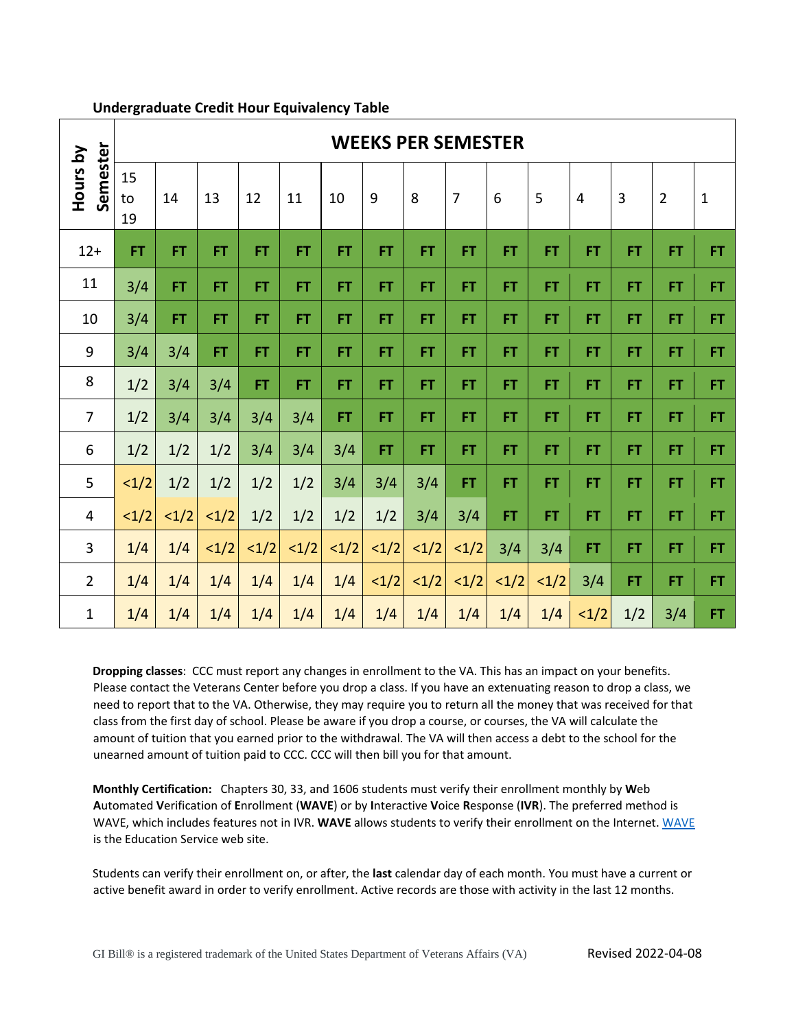|                      |                | <b>WEEKS PER SEMESTER</b> |           |           |           |           |           |                |                |           |                   |                |           |                |              |  |
|----------------------|----------------|---------------------------|-----------|-----------|-----------|-----------|-----------|----------------|----------------|-----------|-------------------|----------------|-----------|----------------|--------------|--|
| Semester<br>Hours by | 15<br>to<br>19 | 14                        | 13        | 12        | 11        | 10        | 9         | 8              | $\overline{7}$ | 6         | 5                 | $\overline{4}$ | 3         | $\overline{2}$ | $\mathbf{1}$ |  |
| $12+$                | <b>FT</b>      | <b>FT</b>                 | <b>FT</b> | <b>FT</b> | <b>FT</b> | <b>FT</b> | <b>FT</b> | <b>FT</b>      | <b>FT</b>      | <b>FT</b> | <b>FT</b>         | <b>FT</b>      | <b>FT</b> | <b>FT</b>      | FT.          |  |
| 11                   | 3/4            | FT.                       | <b>FT</b> | <b>FT</b> | <b>FT</b> | <b>FT</b> | <b>FT</b> | <b>FT</b>      | FT.            | <b>FT</b> | <b>FT</b>         | <b>FT</b>      | <b>FT</b> | <b>FT</b>      | <b>FT</b>    |  |
| 10                   | 3/4            | <b>FT</b>                 | <b>FT</b> | <b>FT</b> | <b>FT</b> | <b>FT</b> | <b>FT</b> | <b>FT</b>      | <b>FT</b>      | <b>FT</b> | <b>FT</b>         | <b>FT</b>      | <b>FT</b> | <b>FT</b>      | <b>FT</b>    |  |
| 9                    | 3/4            | 3/4                       | <b>FT</b> | <b>FT</b> | <b>FT</b> | <b>FT</b> | <b>FT</b> | <b>FT</b>      | <b>FT</b>      | <b>FT</b> | <b>FT</b>         | <b>FT</b>      | <b>FT</b> | <b>FT</b>      | FT.          |  |
| 8                    | 1/2            | 3/4                       | 3/4       | <b>FT</b> | <b>FT</b> | <b>FT</b> | FT.       | <b>FT</b>      | <b>FT</b>      | <b>FT</b> | <b>FT</b>         | <b>FT</b>      | <b>FT</b> | <b>FT</b>      | <b>FT</b>    |  |
| $\overline{7}$       | 1/2            | 3/4                       | 3/4       | 3/4       | 3/4       | FT.       | FT.       | <b>FT</b>      | FT.            | <b>FT</b> | <b>FT</b>         | <b>FT</b>      | <b>FT</b> | FT             | FT.          |  |
| 6                    | 1/2            | 1/2                       | 1/2       | 3/4       | 3/4       | 3/4       | <b>FT</b> | <b>FT</b>      | FT.            | <b>FT</b> | <b>FT</b>         | <b>FT</b>      | <b>FT</b> | <b>FT</b>      | <b>FT</b>    |  |
| 5                    | 1/2            | 1/2                       | 1/2       | 1/2       | 1/2       | 3/4       | 3/4       | 3/4            | FT.            | <b>FT</b> | <b>FT</b>         | <b>FT</b>      | <b>FT</b> | <b>FT</b>      | FT.          |  |
| 4                    | 1/2            | 1/2                       | 1/2       | 1/2       | 1/2       | 1/2       | 1/2       | 3/4            | 3/4            | <b>FT</b> | FT.               | <b>FT</b>      | <b>FT</b> | <b>FT</b>      | FT.          |  |
| $\overline{3}$       | 1/4            | 1/4                       | 1/2       | <1/2      | 1/2       | 1/2       | <1/2      | 1/2            | 1/2            | 3/4       | 3/4               | <b>FT</b>      | <b>FT</b> | <b>FT</b>      | <b>FT</b>    |  |
| $\overline{2}$       | 1/4            | 1/4                       | 1/4       | 1/4       | 1/4       | 1/4       | <1/2      | $\langle 1/2 $ | 1/2            | 1/2       | $\vert 1/2 \vert$ | 3/4            | <b>FT</b> | <b>FT</b>      | <b>FT</b>    |  |
| $\mathbf{1}$         | 1/4            | 1/4                       | 1/4       | 1/4       | 1/4       | 1/4       | 1/4       | 1/4            | 1/4            | 1/4       | 1/4               | 1/2            | 1/2       | 3/4            | FT.          |  |

## **Undergraduate Credit Hour Equivalency Table**

**Dropping classes**: CCC must report any changes in enrollment to the VA. This has an impact on your benefits. Please contact the Veterans Center before you drop a class. If you have an extenuating reason to drop a class, we need to report that to the VA. Otherwise, they may require you to return all the money that was received for that class from the first day of school. Please be aware if you drop a course, or courses, the VA will calculate the amount of tuition that you earned prior to the withdrawal. The VA will then access a debt to the school for the unearned amount of tuition paid to CCC. CCC will then bill you for that amount.

**Monthly Certification:** Chapters 30, 33, and 1606 students must verify their enrollment monthly by **W**eb **A**utomated **V**erification of **E**nrollment (**WAVE**) or by **I**nteractive **V**oice **R**esponse (**IVR**). The preferred method is WAVE, which includes features not in IVR. **WAVE** allows students to verify their enrollment on the Internet[. WAVE](https://www.gibill.va.gov/wave/index.do) is the Education Service web site.

Students can verify their enrollment on, or after, the **last** calendar day of each month. You must have a current or active benefit award in order to verify enrollment. Active records are those with activity in the last 12 months.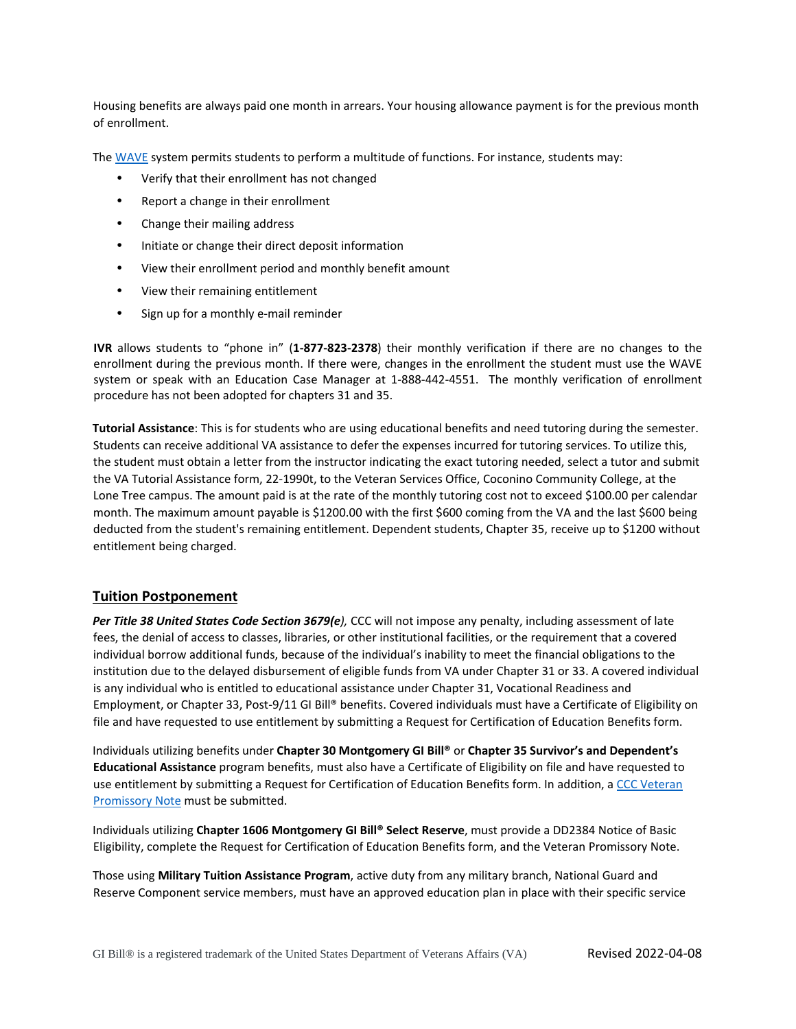Housing benefits are always paid one month in arrears. Your housing allowance payment is for the previous month of enrollment.

Th[e WAVE](https://www.gibill.va.gov/wave/index.do) system permits students to perform a multitude of functions. For instance, students may:

- Verify that their enrollment has not changed
- Report a change in their enrollment
- Change their mailing address
- Initiate or change their direct deposit information
- View their enrollment period and monthly benefit amount
- View their remaining entitlement
- Sign up for a monthly e-mail reminder

**IVR** allows students to "phone in" (**1‐877‐823‐2378**) their monthly verification if there are no changes to the enrollment during the previous month. If there were, changes in the enrollment the student must use the WAVE system or speak with an Education Case Manager at 1-888-442-4551. The monthly verification of enrollment procedure has not been adopted for chapters 31 and 35.

**Tutorial Assistance**: This is for students who are using educational benefits and need tutoring during the semester. Students can receive additional VA assistance to defer the expenses incurred for tutoring services. To utilize this, the student must obtain a letter from the instructor indicating the exact tutoring needed, select a tutor and submit the VA Tutorial Assistance form, 22-1990t, to the Veteran Services Office, Coconino Community College, at the Lone Tree campus. The amount paid is at the rate of the monthly tutoring cost not to exceed \$100.00 per calendar month. The maximum amount payable is \$1200.00 with the first \$600 coming from the VA and the last \$600 being deducted from the student's remaining entitlement. Dependent students, Chapter 35, receive up to \$1200 without entitlement being charged.

### **Tuition Postponement**

*Per Title 38 United States Code Section 3679(e),* CCC will not impose any penalty, including assessment of late fees, the denial of access to classes, libraries, or other institutional facilities, or the requirement that a covered individual borrow additional funds, because of the individual's inability to meet the financial obligations to the institution due to the delayed disbursement of eligible funds from VA under Chapter 31 or 33. A covered individual is any individual who is entitled to educational assistance under Chapter 31, Vocational Readiness and Employment, or Chapter 33, Post-9/11 GI Bill® benefits. Covered individuals must have a Certificate of Eligibility on file and have requested to use entitlement by submitting a Request for Certification of Education Benefits form.

Individuals utilizing benefits under **Chapter 30 Montgomery GI Bill®** or **Chapter 35 Survivor's and Dependent's Educational Assistance** program benefits, must also have a Certificate of Eligibility on file and have requested to use entitlement by submitting a Request for Certification of Education Benefits form. In addition, [a CCC Veteran](https://spforms.coconino.edu/sites/veteran-services/default.aspx)  [Promissory Note](https://spforms.coconino.edu/sites/veteran-services/default.aspx) must be submitted.

Individuals utilizing **Chapter 1606 Montgomery GI Bill® Select Reserve**, must provide a DD2384 Notice of Basic Eligibility, complete the Request for Certification of Education Benefits form, and the Veteran Promissory Note.

Those using **Military Tuition Assistance Program**, active duty from any military branch, National Guard and Reserve Component service members, must have an approved education plan in place with their specific service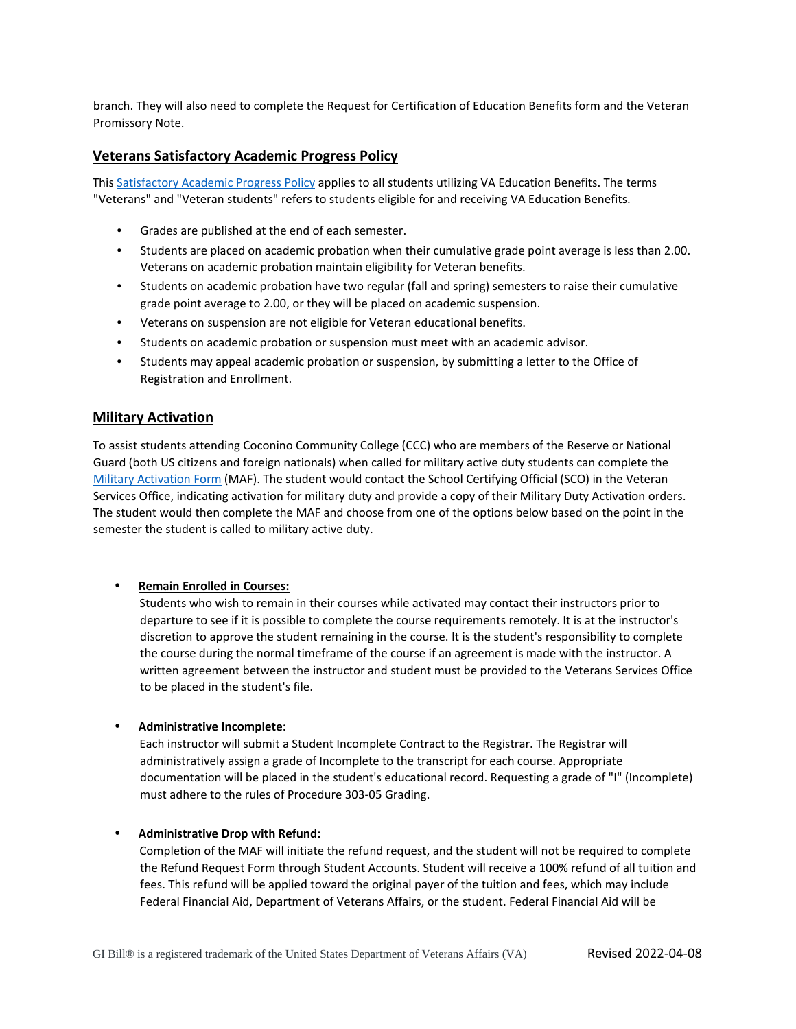branch. They will also need to complete the Request for Certification of Education Benefits form and the Veteran Promissory Note.

### **Veterans Satisfactory Academic Progress Policy**

This [Satisfactory Academic Progress Policy](https://www.coconino.edu/va/veterans-satisfactory-academic-progress) applies to all students utilizing VA Education Benefits. The terms "Veterans" and "Veteran students" refers to students eligible for and receiving VA Education Benefits.

- Grades are published at the end of each semester.
- Students are placed on academic probation when their cumulative grade point average is less than 2.00. Veterans on academic probation maintain eligibility for Veteran benefits.
- Students on academic probation have two regular (fall and spring) semesters to raise their cumulative grade point average to 2.00, or they will be placed on academic suspension.
- Veterans on suspension are not eligible for Veteran educational benefits.
- Students on academic probation or suspension must meet with an academic advisor.
- Students may appeal academic probation or suspension, by submitting a letter to the Office of Registration and Enrollment.

#### **Military Activation**

To assist students attending Coconino Community College (CCC) who are members of the Reserve or National Guard (both US citizens and foreign nationals) when called for military active duty students can complete the [Military Activation Form](https://www.coconino.edu/resources/files/pdfs/financial-aid/vet-services/VA014-MAF.pdf) (MAF). The student would contact the School Certifying Official (SCO) in the Veteran Services Office, indicating activation for military duty and provide a copy of their Military Duty Activation orders. The student would then complete the MAF and choose from one of the options below based on the point in the semester the student is called to military active duty.

#### • **Remain Enrolled in Courses:**

Students who wish to remain in their courses while activated may contact their instructors prior to departure to see if it is possible to complete the course requirements remotely. It is at the instructor's discretion to approve the student remaining in the course. It is the student's responsibility to complete the course during the normal timeframe of the course if an agreement is made with the instructor. A written agreement between the instructor and student must be provided to the Veterans Services Office to be placed in the student's file.

#### • **Administrative Incomplete:**

Each instructor will submit a Student Incomplete Contract to the Registrar. The Registrar will administratively assign a grade of Incomplete to the transcript for each course. Appropriate documentation will be placed in the student's educational record. Requesting a grade of "I" (Incomplete) must adhere to the rules of Procedure 303-05 Grading.

#### • **Administrative Drop with Refund:**

Completion of the MAF will initiate the refund request, and the student will not be required to complete the Refund Request Form through Student Accounts. Student will receive a 100% refund of all tuition and fees. This refund will be applied toward the original payer of the tuition and fees, which may include Federal Financial Aid, Department of Veterans Affairs, or the student. Federal Financial Aid will be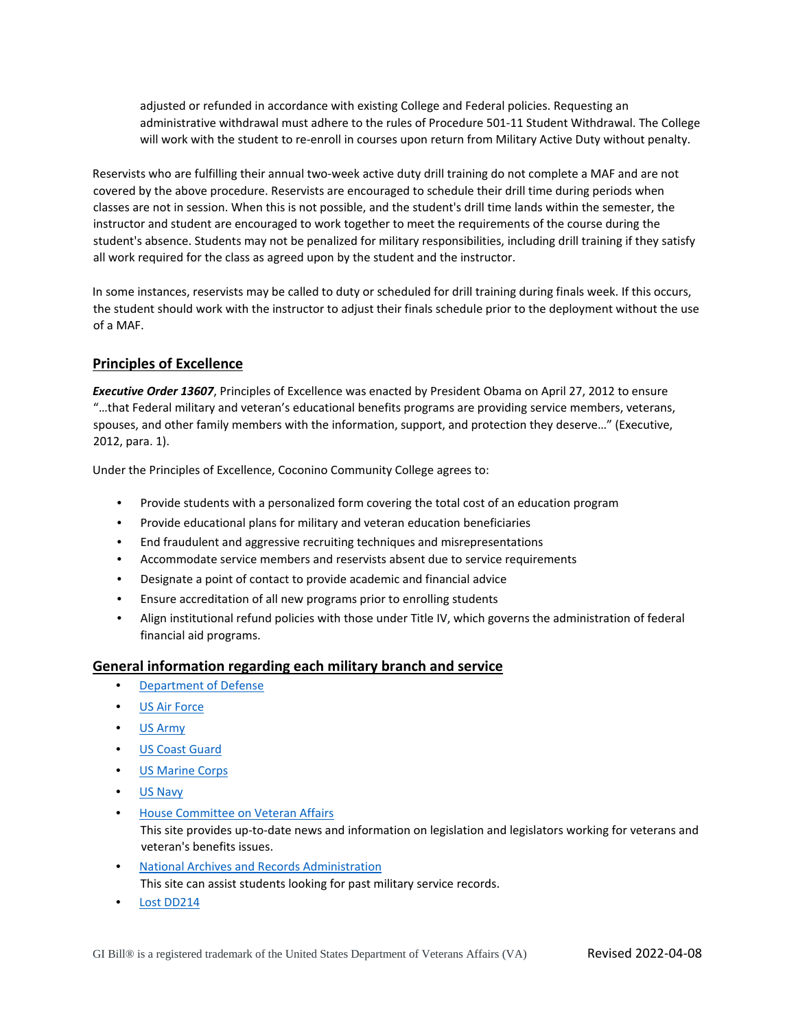adjusted or refunded in accordance with existing College and Federal policies. Requesting an administrative withdrawal must adhere to the rules of Procedure 501-11 Student Withdrawal. The College will work with the student to re-enroll in courses upon return from Military Active Duty without penalty.

Reservists who are fulfilling their annual two-week active duty drill training do not complete a MAF and are not covered by the above procedure. Reservists are encouraged to schedule their drill time during periods when classes are not in session. When this is not possible, and the student's drill time lands within the semester, the instructor and student are encouraged to work together to meet the requirements of the course during the student's absence. Students may not be penalized for military responsibilities, including drill training if they satisfy all work required for the class as agreed upon by the student and the instructor.

In some instances, reservists may be called to duty or scheduled for drill training during finals week. If this occurs, the student should work with the instructor to adjust their finals schedule prior to the deployment without the use of a MAF.

## **Principles of Excellence**

*Executive Order 13607*, Principles of Excellence was enacted by President Obama on April 27, 2012 to ensure "…that Federal military and veteran's educational benefits programs are providing service members, veterans, spouses, and other family members with the information, support, and protection they deserve…" (Executive, 2012, para. 1).

Under the Principles of Excellence, Coconino Community College agrees to:

- Provide students with a personalized form covering the total cost of an education program
- Provide educational plans for military and veteran education beneficiaries
- End fraudulent and aggressive recruiting techniques and misrepresentations
- Accommodate service members and reservists absent due to service requirements
- Designate a point of contact to provide academic and financial advice
- Ensure accreditation of all new programs prior to enrolling students
- Align institutional refund policies with those under Title IV, which governs the administration of federal financial aid programs.

### **General information regarding each military branch and service**

- [Department of Defense](https://www.defense.gov/)
- [US Air Force](https://www.airforce.com/)
- [US Army](https://www.army.mil/)
- [US Coast Guard](https://www.uscg.mil/)
- [US Marine Corps](https://www.marines.mil/)
- [US Navy](https://www.navy.mil/)
- [House Committee on Veteran Affairs](https://veterans.house.gov/) This site provides up-to-date news and information on legislation and legislators working for veterans and veteran's benefits issues.
- [National Archives and Records Administration](https://www.archives.gov/) This site can assist students looking for past military service records.
- [Lost DD214](https://www.va.gov/records/get-military-service-records/)